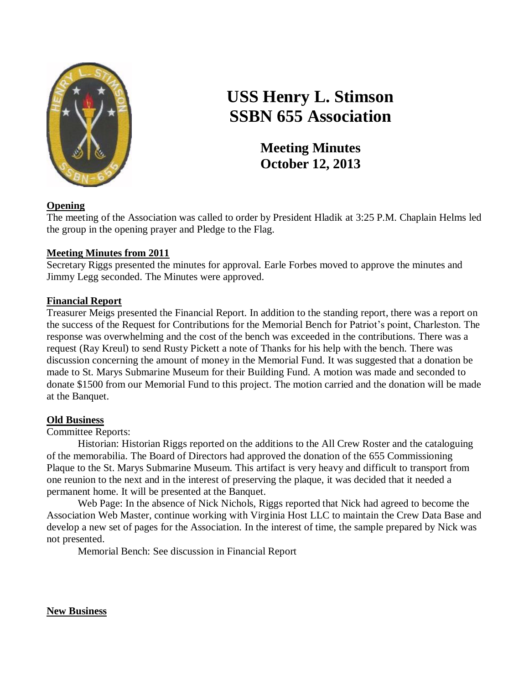

# **USS Henry L. Stimson SSBN 655 Association**

**Meeting Minutes October 12, 2013**

# **Opening**

The meeting of the Association was called to order by President Hladik at 3:25 P.M. Chaplain Helms led the group in the opening prayer and Pledge to the Flag.

# **Meeting Minutes from 2011**

Secretary Riggs presented the minutes for approval. Earle Forbes moved to approve the minutes and Jimmy Legg seconded. The Minutes were approved.

# **Financial Report**

Treasurer Meigs presented the Financial Report. In addition to the standing report, there was a report on the success of the Request for Contributions for the Memorial Bench for Patriot's point, Charleston. The response was overwhelming and the cost of the bench was exceeded in the contributions. There was a request (Ray Kreul) to send Rusty Pickett a note of Thanks for his help with the bench. There was discussion concerning the amount of money in the Memorial Fund. It was suggested that a donation be made to St. Marys Submarine Museum for their Building Fund. A motion was made and seconded to donate \$1500 from our Memorial Fund to this project. The motion carried and the donation will be made at the Banquet.

# **Old Business**

Committee Reports:

Historian: Historian Riggs reported on the additions to the All Crew Roster and the cataloguing of the memorabilia. The Board of Directors had approved the donation of the 655 Commissioning Plaque to the St. Marys Submarine Museum. This artifact is very heavy and difficult to transport from one reunion to the next and in the interest of preserving the plaque, it was decided that it needed a permanent home. It will be presented at the Banquet.

Web Page: In the absence of Nick Nichols, Riggs reported that Nick had agreed to become the Association Web Master, continue working with Virginia Host LLC to maintain the Crew Data Base and develop a new set of pages for the Association. In the interest of time, the sample prepared by Nick was not presented.

Memorial Bench: See discussion in Financial Report

**New Business**